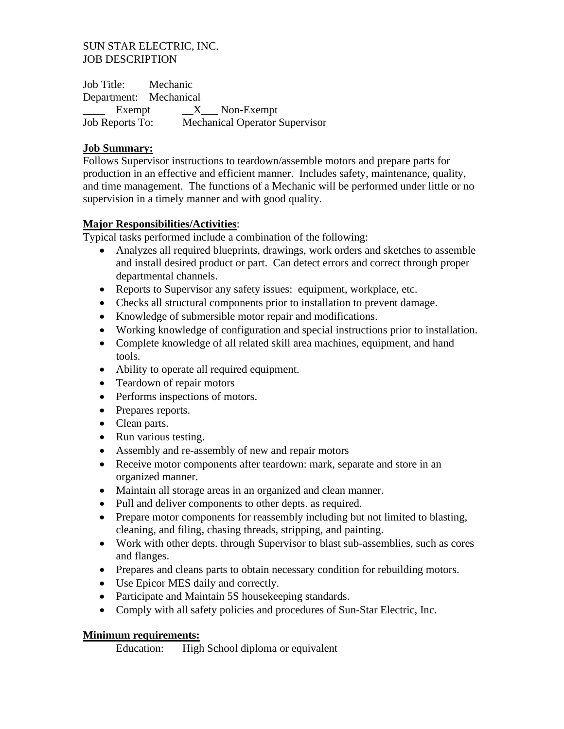#### SUN STAR ELECTRIC, INC. JOB DESCRIPTION

Job Title: Mechanic Department: Mechanical  $Example 2X$  Non-Exempt Job Reports To: Mechanical Operator Supervisor

#### **Job Summary:**

Follows Supervisor instructions to teardown/assemble motors and prepare parts for production in an effective and efficient manner. Includes safety, maintenance, quality, and time management. The functions of a Mechanic will be performed under little or no supervision in a timely manner and with good quality.

#### **Major Responsibilities/Activities**:

Typical tasks performed include a combination of the following:

- Analyzes all required blueprints, drawings, work orders and sketches to assemble and install desired product or part. Can detect errors and correct through proper departmental channels.
- Reports to Supervisor any safety issues: equipment, workplace, etc.
- Checks all structural components prior to installation to prevent damage.
- Knowledge of submersible motor repair and modifications.
- Working knowledge of configuration and special instructions prior to installation.
- Complete knowledge of all related skill area machines, equipment, and hand tools.
- Ability to operate all required equipment.
- Teardown of repair motors
- Performs inspections of motors.
- Prepares reports.
- Clean parts.
- Run various testing.
- Assembly and re-assembly of new and repair motors
- Receive motor components after teardown: mark, separate and store in an organized manner.
- Maintain all storage areas in an organized and clean manner.
- Pull and deliver components to other depts. as required.
- Prepare motor components for reassembly including but not limited to blasting, cleaning, and filing, chasing threads, stripping, and painting.
- Work with other depts, through Supervisor to blast sub-assemblies, such as cores and flanges.
- Prepares and cleans parts to obtain necessary condition for rebuilding motors.
- Use Epicor MES daily and correctly.
- Participate and Maintain 5S housekeeping standards.
- Comply with all safety policies and procedures of Sun-Star Electric, Inc.

#### **Minimum requirements:**

Education: High School diploma or equivalent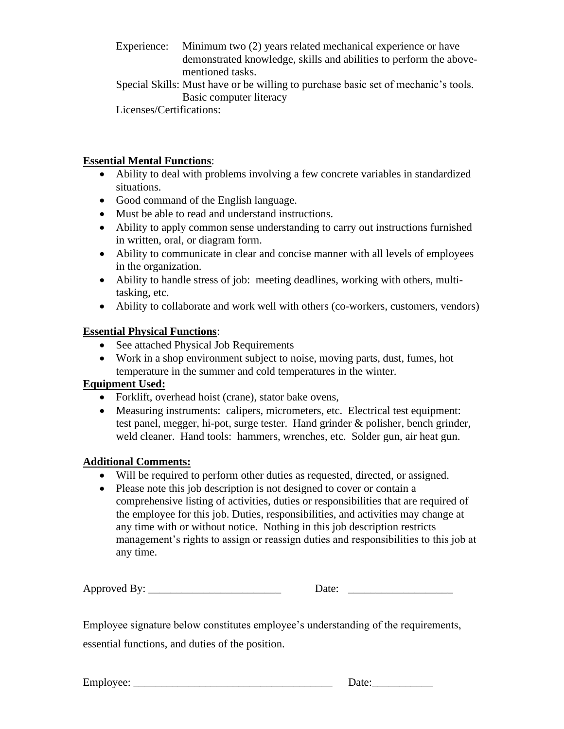- Experience: Minimum two (2) years related mechanical experience or have demonstrated knowledge, skills and abilities to perform the abovementioned tasks.
- Special Skills: Must have or be willing to purchase basic set of mechanic's tools. Basic computer literacy

Licenses/Certifications:

#### **Essential Mental Functions**:

- Ability to deal with problems involving a few concrete variables in standardized situations.
- Good command of the English language.
- Must be able to read and understand instructions.
- Ability to apply common sense understanding to carry out instructions furnished in written, oral, or diagram form.
- Ability to communicate in clear and concise manner with all levels of employees in the organization.
- Ability to handle stress of job: meeting deadlines, working with others, multitasking, etc.
- Ability to collaborate and work well with others (co-workers, customers, vendors)

# **Essential Physical Functions**:

- See attached Physical Job Requirements
- Work in a shop environment subject to noise, moving parts, dust, fumes, hot temperature in the summer and cold temperatures in the winter.

# **Equipment Used:**

- Forklift, overhead hoist (crane), stator bake ovens,
- Measuring instruments: calipers, micrometers, etc. Electrical test equipment: test panel, megger, hi-pot, surge tester. Hand grinder & polisher, bench grinder, weld cleaner. Hand tools: hammers, wrenches, etc. Solder gun, air heat gun.

# **Additional Comments:**

- Will be required to perform other duties as requested, directed, or assigned.
- Please note this job description is not designed to cover or contain a comprehensive listing of activities, duties or responsibilities that are required of the employee for this job. Duties, responsibilities, and activities may change at any time with or without notice. Nothing in this job description restricts management's rights to assign or reassign duties and responsibilities to this job at any time.

| Approved By: | <b>ALC</b> |
|--------------|------------|
|              |            |

Employee signature below constitutes employee's understanding of the requirements, essential functions, and duties of the position.

| Employee: |
|-----------|
|           |